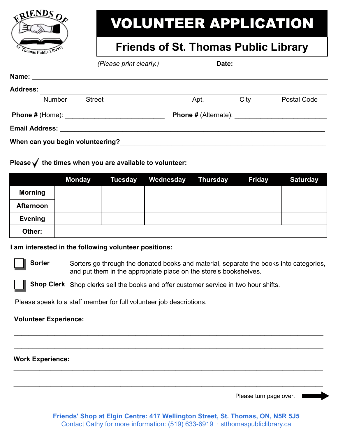

# VOLUNTEER APPLICATION

### **Friends of St. Thomas Public Library**

|                 |               | (Please print clearly.)                                                                                                                                                                                                       |      |      |                                                           |
|-----------------|---------------|-------------------------------------------------------------------------------------------------------------------------------------------------------------------------------------------------------------------------------|------|------|-----------------------------------------------------------|
|                 |               |                                                                                                                                                                                                                               |      |      |                                                           |
| <b>Address:</b> |               |                                                                                                                                                                                                                               |      |      |                                                           |
|                 | <b>Number</b> | <b>Street</b>                                                                                                                                                                                                                 | Apt. | City | Postal Code                                               |
|                 |               |                                                                                                                                                                                                                               |      |      | <b>Phone # (Alternate):</b> National Phone # (Alternate): |
|                 |               | Email Address: _______________________                                                                                                                                                                                        |      |      |                                                           |
|                 |               | When can you begin volunteering? When we have a state of the control of the control of the control of the control of the control of the control of the control of the control of the control of the control of the control of |      |      |                                                           |

#### Please  $\checkmark$  the times when you are available to volunteer:

|                  | <b>Monday</b> | <b>Tuesday</b> | Wednesday | Thursday | <b>Friday</b> | <b>Saturday</b> |
|------------------|---------------|----------------|-----------|----------|---------------|-----------------|
| <b>Morning</b>   |               |                |           |          |               |                 |
| <b>Afternoon</b> |               |                |           |          |               |                 |
| <b>Evening</b>   |               |                |           |          |               |                 |
| Other:           |               |                |           |          |               |                 |

#### **I am interested in the following volunteer positions:**

**Sorter** Sorters go through the donated books and material, separate the books into categories, and put them in the appropriate place on the store's bookshelves.

**\_\_\_\_\_\_\_\_\_\_\_\_\_\_\_\_\_\_\_\_\_\_\_\_\_\_\_\_\_\_\_\_\_\_\_\_\_\_\_\_\_\_\_\_\_\_\_\_\_\_\_\_\_\_\_\_\_\_\_\_\_\_\_\_\_\_\_\_\_\_\_\_\_\_\_\_\_\_\_\_\_\_\_\_**

**\_\_\_\_\_\_\_\_\_\_\_\_\_\_\_\_\_\_\_\_\_\_\_\_\_\_\_\_\_\_\_\_\_\_\_\_\_\_\_\_\_\_\_\_\_\_\_\_\_\_\_\_\_\_\_\_\_\_\_\_\_\_\_\_\_\_\_\_\_\_\_\_\_\_\_\_\_\_\_\_\_\_\_\_**

**\_\_\_\_\_\_\_\_\_\_\_\_\_\_\_\_\_\_\_\_\_\_\_\_\_\_\_\_\_\_\_\_\_\_\_\_\_\_\_\_\_\_\_\_\_\_\_\_\_\_\_\_\_\_\_\_\_\_\_\_\_\_\_\_\_\_\_\_\_\_\_\_\_\_\_\_\_\_\_\_\_\_\_\_**

**\_\_\_\_\_\_\_\_\_\_\_\_\_\_\_\_\_\_\_\_\_\_\_\_\_\_\_\_\_\_\_\_\_\_\_\_\_\_\_\_\_\_\_\_\_\_\_\_\_\_\_\_\_\_\_\_\_\_\_\_\_\_\_\_\_\_\_\_\_\_\_\_\_\_\_\_\_\_\_\_\_\_\_\_**

**Shop Clerk** Shop clerks sell the books and offer customer service in two hour shifts.

Please speak to a staff member for full volunteer job descriptions.

#### **Volunteer Experience:**

#### **Work Experience:**

Please turn page over.

**Friends' Shop at Elgin Centre: 417 Wellington Street, St. Thomas, ON, N5R 5J5** Contact Cathy for more information: (519) 633-6919 ∙ stthomaspubliclibrary.ca